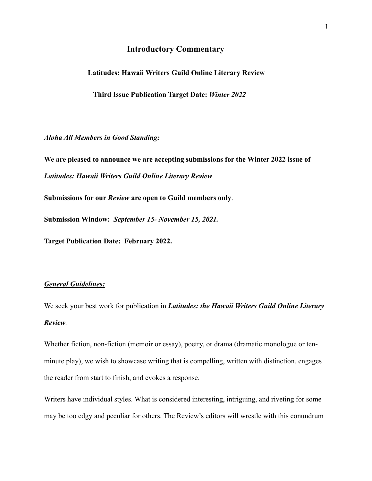# **Introductory Commentary**

 **Latitudes: Hawaii Writers Guild Online Literary Review**

 **Third Issue Publication Target Date:** *Winter 2022*

*Aloha All Members in Good Standing:*

**We are pleased to announce we are accepting submissions for the Winter 2022 issue of** *Latitudes: Hawaii Writers Guild Online Literary Review*.

**Submissions for our** *Review* **are open to Guild members only**.

**Submission Window:** *September 15- November 15, 2021.*

**Target Publication Date: February 2022.**

#### *General Guidelines:*

We seek your best work for publication in *Latitudes: the Hawaii Writers Guild Online Literary Review.*

Whether fiction, non-fiction (memoir or essay), poetry, or drama (dramatic monologue or tenminute play), we wish to showcase writing that is compelling, written with distinction, engages the reader from start to finish, and evokes a response.

Writers have individual styles. What is considered interesting, intriguing, and riveting for some may be too edgy and peculiar for others. The Review's editors will wrestle with this conundrum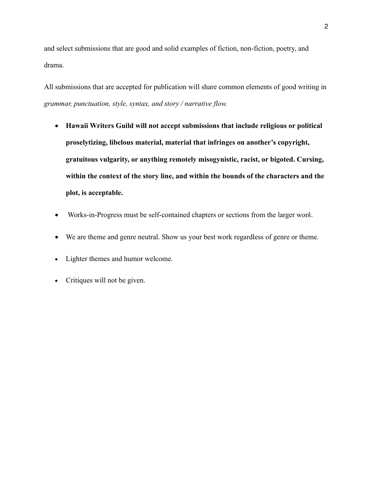and select submissions that are good and solid examples of fiction, non-fiction, poetry, and drama.

All submissions that are accepted for publication will share common elements of good writing in *grammar, punctuation, style, syntax, and story / narrative flow.* 

- **Hawaii Writers Guild will not accept submissions that include religious or political proselytizing, libelous material, material that infringes on another's copyright, gratuitous vulgarity, or anything remotely misogynistic, racist, or bigoted. Cursing, within the context of the story line, and within the bounds of the characters and the plot, is acceptable.**
- Works-in-Progress must be self-contained chapters or sections from the larger wor*k*.
- We are theme and genre neutral. Show us your best work regardless of genre or theme.
- Lighter themes and humor welcome.
- Critiques will not be given.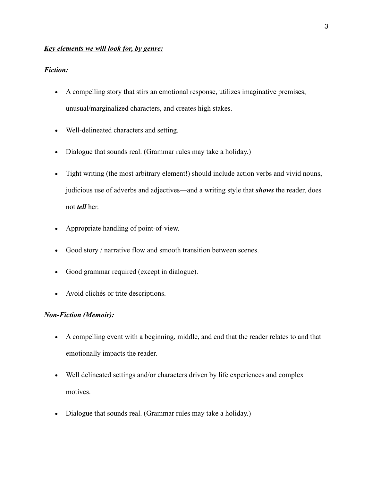## *Key elements we will look for, by genre:*

## *Fiction:*

- A compelling story that stirs an emotional response, utilizes imaginative premises, unusual/marginalized characters, and creates high stakes.
- Well-delineated characters and setting.
- Dialogue that sounds real. (Grammar rules may take a holiday.)
- Tight writing (the most arbitrary element!) should include action verbs and vivid nouns, judicious use of adverbs and adjectives—and a writing style that *shows* the reader, does not *tell* her.
- Appropriate handling of point-of-view.
- Good story / narrative flow and smooth transition between scenes.
- Good grammar required (except in dialogue).
- Avoid clichés or trite descriptions.

## *Non-Fiction (Memoir):*

- A compelling event with a beginning, middle, and end that the reader relates to and that emotionally impacts the reader.
- Well delineated settings and/or characters driven by life experiences and complex motives.
- Dialogue that sounds real. (Grammar rules may take a holiday.)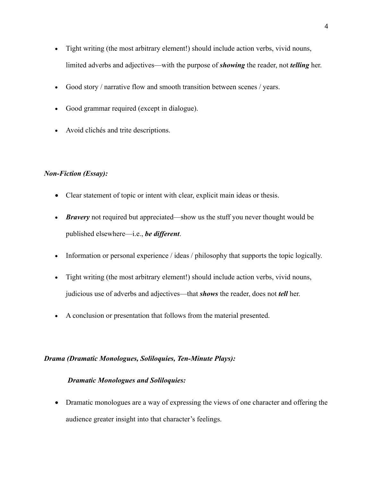- Tight writing (the most arbitrary element!) should include action verbs, vivid nouns, limited adverbs and adjectives—with the purpose of *showing* the reader, not *telling* her.
- Good story / narrative flow and smooth transition between scenes / years.
- Good grammar required (except in dialogue).
- Avoid clichés and trite descriptions.

## *Non-Fiction (Essay):*

- Clear statement of topic or intent with clear, explicit main ideas or thesis.
- *Bravery* not required but appreciated—show us the stuff you never thought would be published elsewhere—i.e., *be different*.
- Information or personal experience / ideas / philosophy that supports the topic logically.
- Tight writing (the most arbitrary element!) should include action verbs, vivid nouns, judicious use of adverbs and adjectives—that *shows* the reader, does not *tell* her.
- A conclusion or presentation that follows from the material presented.

## *Drama (Dramatic Monologues, Soliloquies, Ten-Minute Plays):*

### *Dramatic Monologues and Soliloquies:*

• Dramatic monologues are a way of expressing the views of one character and offering the audience greater insight into that character's feelings.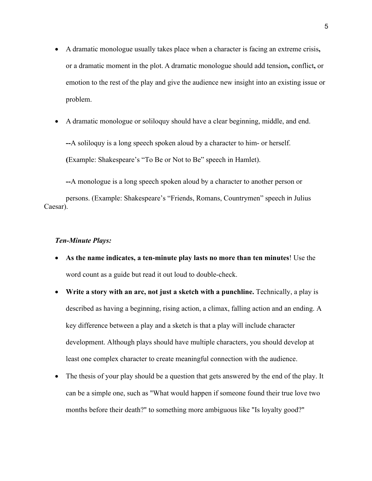- A dramatic monologue usually takes place when a character is facing an extreme crisis**,**  or a dramatic moment in the plot. A dramatic monologue should add tension**,** conflict**,** or emotion to the rest of the play and give the audience new insight into an existing issue or problem.
- A dramatic monologue or soliloquy should have a clear beginning, middle, and end.

**--**A soliloquy is a long speech spoken aloud by a character to him- or herself. **(**Example: Shakespeare's "To Be or Not to Be" speech in Hamlet).

**--**A monologue is a long speech spoken aloud by a character to another person or persons. (Example: Shakespeare's "Friends, Romans, Countrymen" speech in Julius Caesar).

#### *Ten-Minute Plays:*

- **As the name indicates, a ten-minute play lasts no more than ten minutes**! Use the word count as a guide but read it out loud to double-check.
- **Write a story with an arc, not just a sketch with a punchline.** Technically, a play is described as having a beginning, rising action, a climax, falling action and an ending. A key difference between a play and a sketch is that a play will include character development. Although plays should have multiple characters, you should develop at least one complex character to create meaningful connection with the audience.
- The thesis of your play should be a question that gets answered by the end of the play. It can be a simple one, such as "What would happen if someone found their true love two months before their death?" to something more ambiguous like "Is loyalty good?"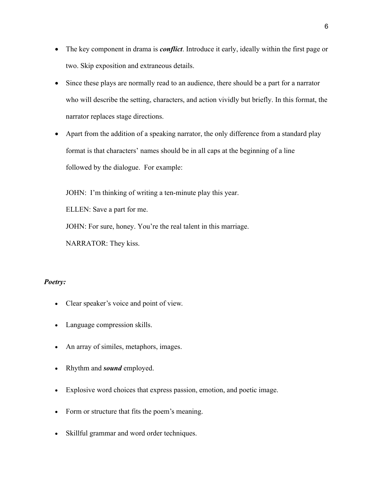- The key component in drama is *conflict*. Introduce it early, ideally within the first page or two. Skip exposition and extraneous details.
- Since these plays are normally read to an audience, there should be a part for a narrator who will describe the setting, characters, and action vividly but briefly. In this format, the narrator replaces stage directions.
- Apart from the addition of a speaking narrator, the only difference from a standard play format is that characters' names should be in all caps at the beginning of a line followed by the dialogue.For example:

JOHN: I'm thinking of writing a ten-minute play this year.

ELLEN: Save a part for me.

JOHN: For sure, honey. You're the real talent in this marriage.

NARRATOR: They kiss.

### *Poetry:*

- Clear speaker's voice and point of view.
- Language compression skills.
- An array of similes, metaphors, images.
- Rhythm and *sound* employed.
- Explosive word choices that express passion, emotion, and poetic image.
- Form or structure that fits the poem's meaning.
- Skillful grammar and word order techniques.